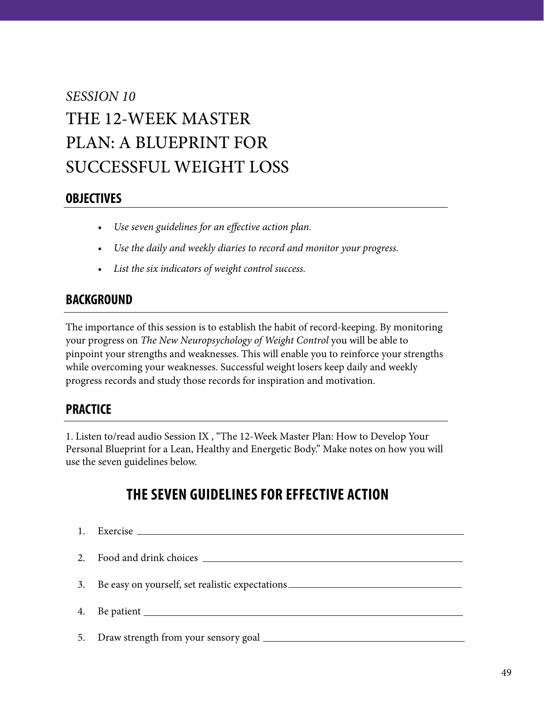# *SESSION 10* THE 12-WEEK MASTER PLAN: A BLUEPRINT FOR SUCCESSFUL WEIGHT LOSS

### **OBJECTIVES**

- *• Use seven guidelines for an effective action plan.*
- *• Use the daily and weekly diaries to record and monitor your progress.*
- *• List the six indicators of weight control success.*

### **BACKGROUND**

The importance of this session is to establish the habit of record-keeping. By monitoring your progress on *The New Neuropsychology of Weight Control* you will be able to pinpoint your strengths and weaknesses. This will enable you to reinforce your strengths while overcoming your weaknesses. Successful weight losers keep daily and weekly progress records and study those records for inspiration and motivation.

## **PRACTICE**

1. Listen to/read audio Session IX , "The 12-Week Master Plan: How to Develop Your Personal Blueprint for a Lean, Healthy and Energetic Body." Make notes on how you will use the seven guidelines below.

# **THE SEVEN GUIDELINES FOR EFFECTIVE ACTION**

| 1. |                                                                                  |
|----|----------------------------------------------------------------------------------|
|    |                                                                                  |
|    |                                                                                  |
|    | 3. Be easy on yourself, set realistic expectations _____________________________ |
|    | 4. Be patient                                                                    |
|    |                                                                                  |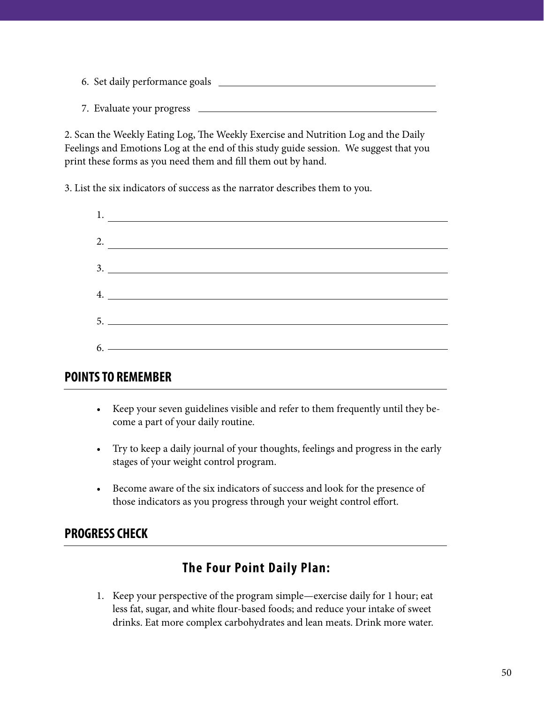- 6. Set daily performance goals
- 7. Evaluate your progress

2. Scan the Weekly Eating Log, The Weekly Exercise and Nutrition Log and the Daily Feelings and Emotions Log at the end of this study guide session. We suggest that you print these forms as you need them and fill them out by hand.

3. List the six indicators of success as the narrator describes them to you.

| $\frac{1}{1}$ .               |
|-------------------------------|
|                               |
|                               |
| 4.                            |
|                               |
| $6.$ $\overline{\phantom{a}}$ |

### **POINTS TO REMEMBER**

- Keep your seven guidelines visible and refer to them frequently until they become a part of your daily routine.
- Try to keep a daily journal of your thoughts, feelings and progress in the early stages of your weight control program.
- Become aware of the six indicators of success and look for the presence of those indicators as you progress through your weight control effort.

## **PROGRESS CHECK**

# **The Four Point Daily Plan:**

1. Keep your perspective of the program simple—exercise daily for 1 hour; eat less fat, sugar, and white flour-based foods; and reduce your intake of sweet drinks. Eat more complex carbohydrates and lean meats. Drink more water.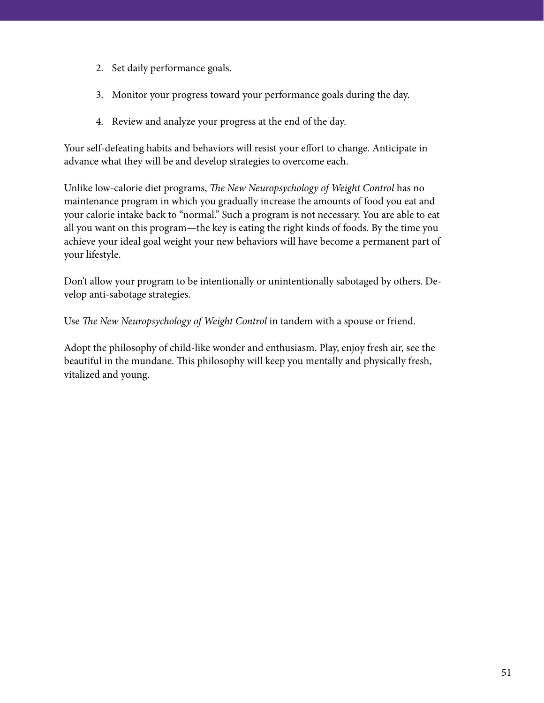- 2. Set daily performance goals.
- 3. Monitor your progress toward your performance goals during the day.
- 4. Review and analyze your progress at the end of the day.

Your self-defeating habits and behaviors will resist your effort to change. Anticipate in advance what they will be and develop strategies to overcome each.

Unlike low-calorie diet programs, *The New Neuropsychology of Weight Control* has no maintenance program in which you gradually increase the amounts of food you eat and your calorie intake back to "normal." Such a program is not necessary. You are able to eat all you want on this program—the key is eating the right kinds of foods. By the time you achieve your ideal goal weight your new behaviors will have become a permanent part of your lifestyle.

Don't allow your program to be intentionally or unintentionally sabotaged by others. Develop anti-sabotage strategies.

Use *The New Neuropsychology of Weight Control* in tandem with a spouse or friend.

Adopt the philosophy of child-like wonder and enthusiasm. Play, enjoy fresh air, see the beautiful in the mundane. This philosophy will keep you mentally and physically fresh, vitalized and young.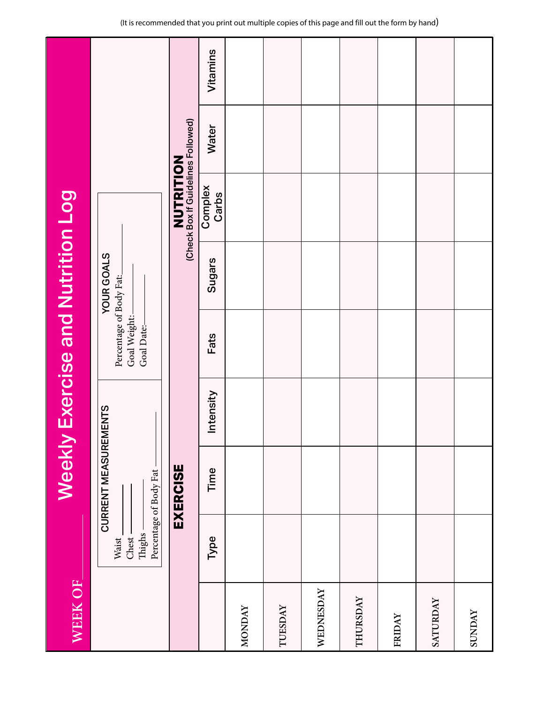| WEEK OF       |                                   | Weekly                                          |           | <b>Exercise and Nutrition Log</b>                     |                   |                                                        |       |          |
|---------------|-----------------------------------|-------------------------------------------------|-----------|-------------------------------------------------------|-------------------|--------------------------------------------------------|-------|----------|
|               | Thighs -<br>Chest<br><b>Waist</b> | CURRENT MEASUREMENTS<br>Percentage of Body Fat- |           | Percentage of Body Fat:<br>Goal Weight:<br>Goal Date: | <b>YOUR GOALS</b> |                                                        |       |          |
|               |                                   | EXERCISE                                        |           |                                                       |                   | <b>NUTRITION</b><br>(Check Box If Guidelines Followed) |       |          |
|               | Type                              | Time                                            | Intensity | Fats                                                  | <b>Sugars</b>     | Complex<br>Carbs                                       | Water | Vitamins |
| <b>MONDAY</b> |                                   |                                                 |           |                                                       |                   |                                                        |       |          |
| TUESDAY       |                                   |                                                 |           |                                                       |                   |                                                        |       |          |
| WEDNESDAY     |                                   |                                                 |           |                                                       |                   |                                                        |       |          |
| THURSDAY      |                                   |                                                 |           |                                                       |                   |                                                        |       |          |
| FRIDAY        |                                   |                                                 |           |                                                       |                   |                                                        |       |          |
| SATURDAY      |                                   |                                                 |           |                                                       |                   |                                                        |       |          |
| <b>SUNDAY</b> |                                   |                                                 |           |                                                       |                   |                                                        |       |          |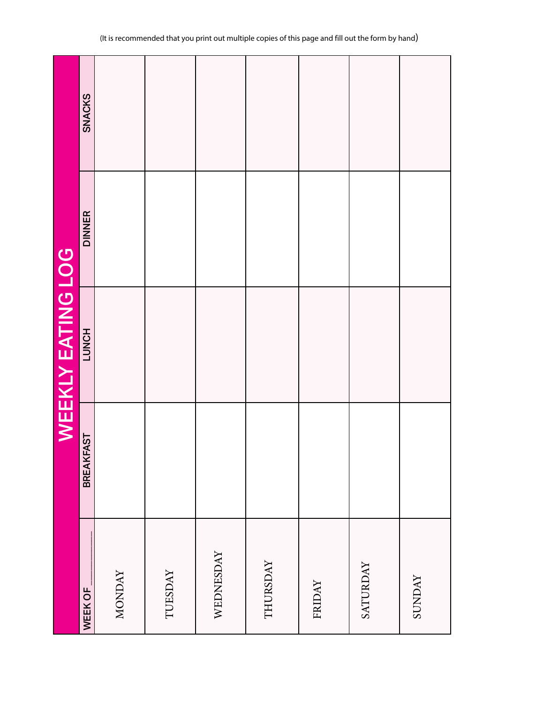|               |                  | WEEKLY EATING LOG |               |               |
|---------------|------------------|-------------------|---------------|---------------|
| WEEK OF       | <b>BREAKFAST</b> | LUNCH             | <b>DINNER</b> | <b>SNACKS</b> |
| <b>MONDAY</b> |                  |                   |               |               |
| TUESDAY       |                  |                   |               |               |
| WEDNESDAY     |                  |                   |               |               |
| THURSDAY      |                  |                   |               |               |
| FRIDAY        |                  |                   |               |               |
| SATURDAY      |                  |                   |               |               |
| <b>SUNDAY</b> |                  |                   |               |               |